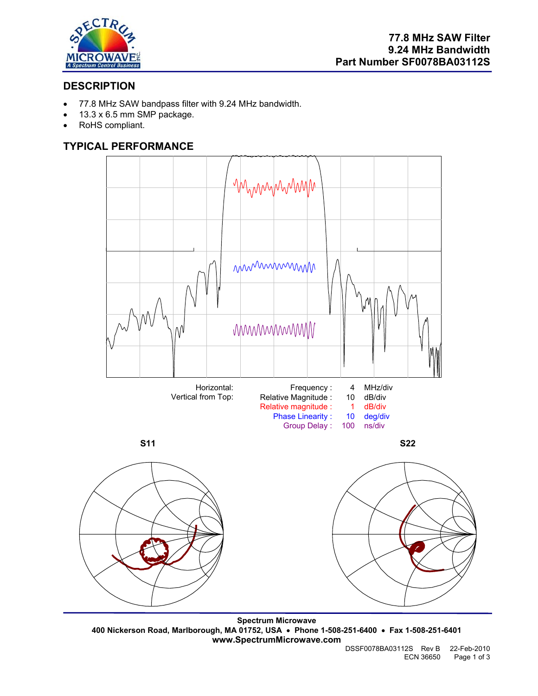

# **DESCRIPTION**

- 77.8 MHz SAW bandpass filter with 9.24 MHz bandwidth.
- 13.3 x 6.5 mm SMP package.
- RoHS compliant.

# **TYPICAL PERFORMANCE**



**Spectrum Microwave 400 Nickerson Road, Marlborough, MA 01752, USA** • **Phone 1-508-251-6400** • **Fax 1-508-251-6401 www.SpectrumMicrowave.com**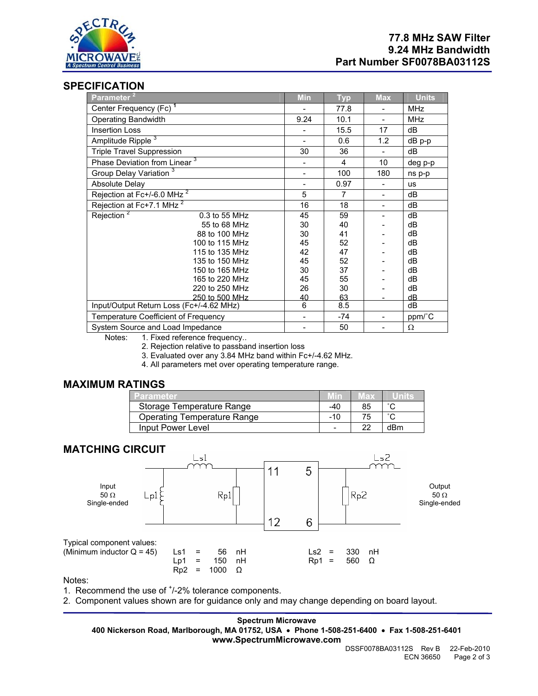

## **SPECIFICATION**

| Parameter <sup>2</sup>                   | <b>Min</b> | <b>Typ</b> | <b>Max</b>               | <b>Units</b> |
|------------------------------------------|------------|------------|--------------------------|--------------|
| Center Frequency (Fc) <sup>1</sup>       |            | 77.8       |                          | <b>MHz</b>   |
| <b>Operating Bandwidth</b>               | 9.24       | 10.1       | $\overline{\phantom{a}}$ | <b>MHz</b>   |
| <b>Insertion Loss</b>                    |            | 15.5       | 17                       | dB           |
| Amplitude Ripple <sup>3</sup>            |            | 0.6        | 1.2                      | dB p-p       |
| <b>Triple Travel Suppression</b>         | 30         | 36         | $\overline{\phantom{a}}$ | dВ           |
| Phase Deviation from Linear <sup>3</sup> |            | 4          | 10                       | deg p-p      |
| Group Delay Variation <sup>3</sup>       |            | 100        | 180                      | ns p-p       |
| <b>Absolute Delay</b>                    | -          | 0.97       |                          | <b>us</b>    |
| Rejection at Fc+/-6.0 MHz <sup>2</sup>   | 5          | 7          |                          | dB           |
| Rejection at Fc+7.1 MHz <sup>2</sup>     | 16         | 18         |                          | dВ           |
| Rejection <sup>2</sup><br>0.3 to 55 MHz  | 45         | 59         |                          | dB           |
| 55 to 68 MHz                             | 30         | 40         |                          | dВ           |
| 88 to 100 MHz                            | 30         | 41         |                          | dB           |
| 100 to 115 MHz                           | 45         | 52         |                          | dB           |
| 115 to 135 MHz                           | 42         | 47         |                          | dВ           |
| 135 to 150 MHz                           | 45         | 52         |                          | dB           |
| 150 to 165 MHz                           | 30         | 37         |                          | dB           |
| 165 to 220 MHz                           | 45         | 55         |                          | dB           |
| 220 to 250 MHz                           | 26         | 30         |                          | dB           |
| 250 to 500 MHz                           | 40         | 63         |                          | dB           |
| Input/Output Return Loss (Fc+/-4.62 MHz) | 6          | 8.5        |                          | dB           |
| Temperature Coefficient of Frequency     |            | -74        |                          | ppm/°C       |
| System Source and Load Impedance         |            | 50         |                          | Ω            |

Notes: 1. Fixed reference frequency..

2. Rejection relative to passband insertion loss

3. Evaluated over any 3.84 MHz band within Fc+/-4.62 MHz.

4. All parameters met over operating temperature range.

## **MAXIMUM RATINGS**

| Parameter                          |       | 18 X |        |
|------------------------------------|-------|------|--------|
| Storage Temperature Range          | -40   | 85   | $\sim$ |
| <b>Operating Temperature Range</b> | $-10$ | 75   | $\sim$ |
| Input Power Level                  | -     | າາ   | dBm    |

## **MATCHING CIRCUIT**



Notes:

1. Recommend the use of  $<sup>+</sup>/-2%$  tolerance components.</sup>

2. Component values shown are for guidance only and may change depending on board layout.

**Spectrum Microwave 400 Nickerson Road, Marlborough, MA 01752, USA** • **Phone 1-508-251-6400** • **Fax 1-508-251-6401 www.SpectrumMicrowave.com**